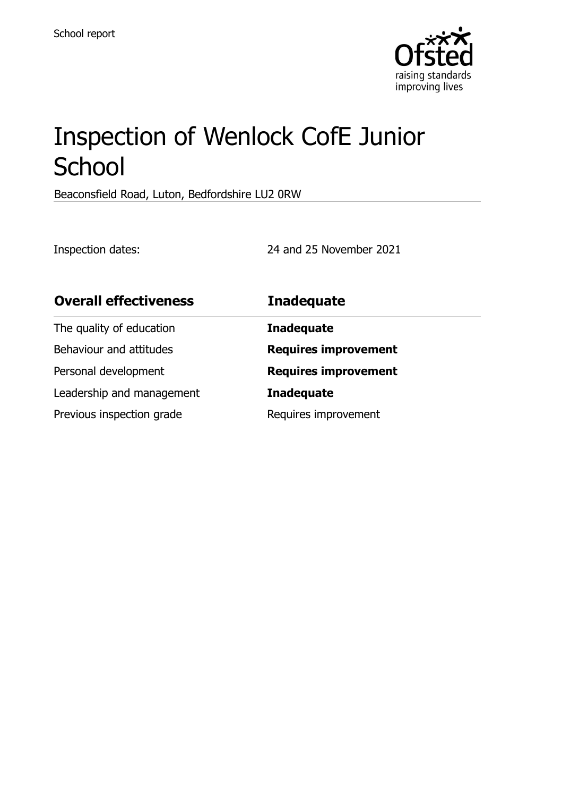

# Inspection of Wenlock CofE Junior **School**

Beaconsfield Road, Luton, Bedfordshire LU2 0RW

Inspection dates: 24 and 25 November 2021

| <b>Overall effectiveness</b> | <b>Inadequate</b>           |
|------------------------------|-----------------------------|
| The quality of education     | <b>Inadequate</b>           |
| Behaviour and attitudes      | <b>Requires improvement</b> |
| Personal development         | <b>Requires improvement</b> |
| Leadership and management    | <b>Inadequate</b>           |
| Previous inspection grade    | Requires improvement        |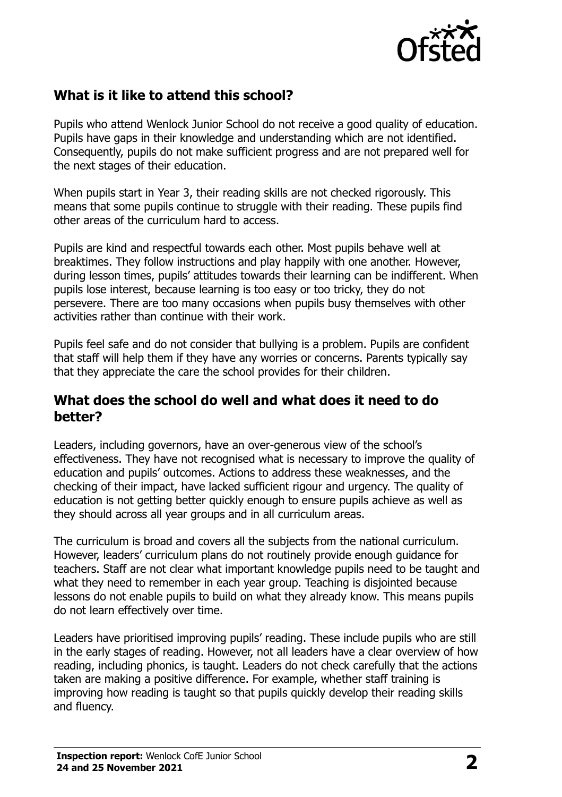

# **What is it like to attend this school?**

Pupils who attend Wenlock Junior School do not receive a good quality of education. Pupils have gaps in their knowledge and understanding which are not identified. Consequently, pupils do not make sufficient progress and are not prepared well for the next stages of their education.

When pupils start in Year 3, their reading skills are not checked rigorously. This means that some pupils continue to struggle with their reading. These pupils find other areas of the curriculum hard to access.

Pupils are kind and respectful towards each other. Most pupils behave well at breaktimes. They follow instructions and play happily with one another. However, during lesson times, pupils' attitudes towards their learning can be indifferent. When pupils lose interest, because learning is too easy or too tricky, they do not persevere. There are too many occasions when pupils busy themselves with other activities rather than continue with their work.

Pupils feel safe and do not consider that bullying is a problem. Pupils are confident that staff will help them if they have any worries or concerns. Parents typically say that they appreciate the care the school provides for their children.

#### **What does the school do well and what does it need to do better?**

Leaders, including governors, have an over-generous view of the school's effectiveness. They have not recognised what is necessary to improve the quality of education and pupils' outcomes. Actions to address these weaknesses, and the checking of their impact, have lacked sufficient rigour and urgency. The quality of education is not getting better quickly enough to ensure pupils achieve as well as they should across all year groups and in all curriculum areas.

The curriculum is broad and covers all the subjects from the national curriculum. However, leaders' curriculum plans do not routinely provide enough guidance for teachers. Staff are not clear what important knowledge pupils need to be taught and what they need to remember in each year group. Teaching is disjointed because lessons do not enable pupils to build on what they already know. This means pupils do not learn effectively over time.

Leaders have prioritised improving pupils' reading. These include pupils who are still in the early stages of reading. However, not all leaders have a clear overview of how reading, including phonics, is taught. Leaders do not check carefully that the actions taken are making a positive difference. For example, whether staff training is improving how reading is taught so that pupils quickly develop their reading skills and fluency.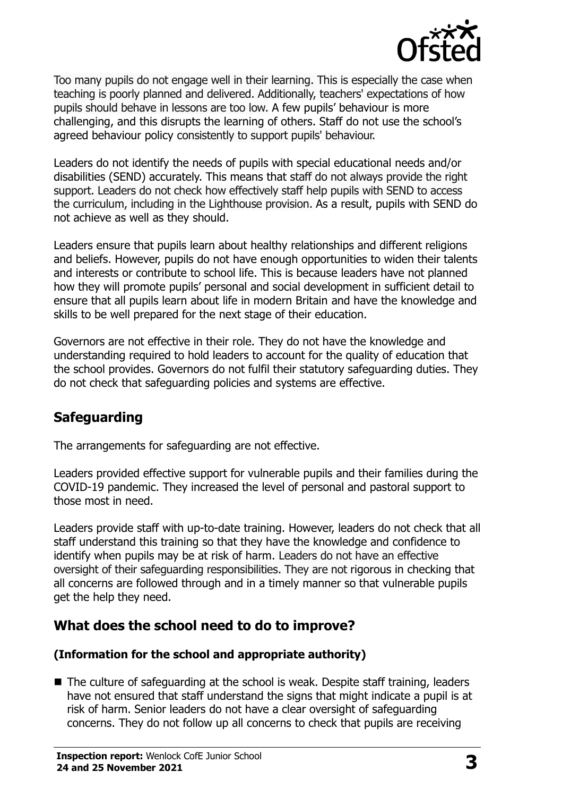

Too many pupils do not engage well in their learning. This is especially the case when teaching is poorly planned and delivered. Additionally, teachers' expectations of how pupils should behave in lessons are too low. A few pupils' behaviour is more challenging, and this disrupts the learning of others. Staff do not use the school's agreed behaviour policy consistently to support pupils' behaviour.

Leaders do not identify the needs of pupils with special educational needs and/or disabilities (SEND) accurately. This means that staff do not always provide the right support. Leaders do not check how effectively staff help pupils with SEND to access the curriculum, including in the Lighthouse provision. As a result, pupils with SEND do not achieve as well as they should.

Leaders ensure that pupils learn about healthy relationships and different religions and beliefs. However, pupils do not have enough opportunities to widen their talents and interests or contribute to school life. This is because leaders have not planned how they will promote pupils' personal and social development in sufficient detail to ensure that all pupils learn about life in modern Britain and have the knowledge and skills to be well prepared for the next stage of their education.

Governors are not effective in their role. They do not have the knowledge and understanding required to hold leaders to account for the quality of education that the school provides. Governors do not fulfil their statutory safeguarding duties. They do not check that safeguarding policies and systems are effective.

# **Safeguarding**

The arrangements for safeguarding are not effective.

Leaders provided effective support for vulnerable pupils and their families during the COVID-19 pandemic. They increased the level of personal and pastoral support to those most in need.

Leaders provide staff with up-to-date training. However, leaders do not check that all staff understand this training so that they have the knowledge and confidence to identify when pupils may be at risk of harm. Leaders do not have an effective oversight of their safeguarding responsibilities. They are not rigorous in checking that all concerns are followed through and in a timely manner so that vulnerable pupils get the help they need.

# **What does the school need to do to improve?**

#### **(Information for the school and appropriate authority)**

■ The culture of safeguarding at the school is weak. Despite staff training, leaders have not ensured that staff understand the signs that might indicate a pupil is at risk of harm. Senior leaders do not have a clear oversight of safeguarding concerns. They do not follow up all concerns to check that pupils are receiving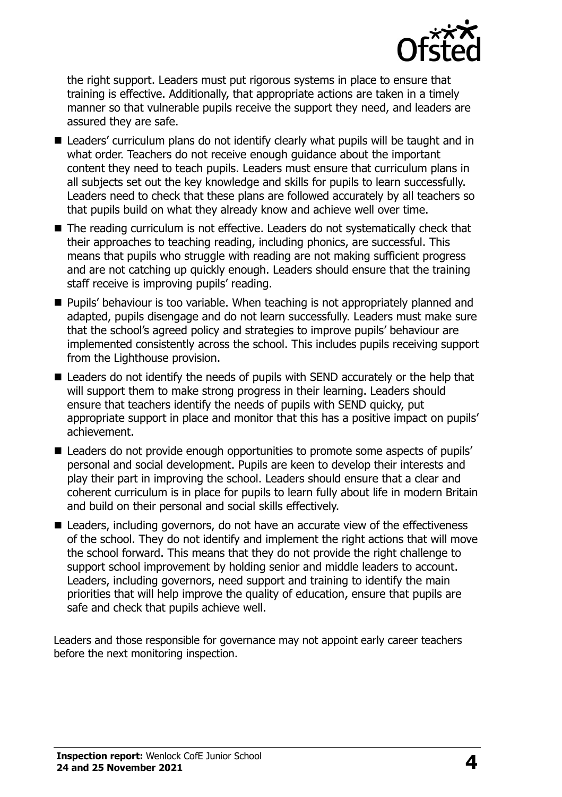

the right support. Leaders must put rigorous systems in place to ensure that training is effective. Additionally, that appropriate actions are taken in a timely manner so that vulnerable pupils receive the support they need, and leaders are assured they are safe.

- Leaders' curriculum plans do not identify clearly what pupils will be taught and in what order. Teachers do not receive enough guidance about the important content they need to teach pupils. Leaders must ensure that curriculum plans in all subjects set out the key knowledge and skills for pupils to learn successfully. Leaders need to check that these plans are followed accurately by all teachers so that pupils build on what they already know and achieve well over time.
- The reading curriculum is not effective. Leaders do not systematically check that their approaches to teaching reading, including phonics, are successful. This means that pupils who struggle with reading are not making sufficient progress and are not catching up quickly enough. Leaders should ensure that the training staff receive is improving pupils' reading.
- **Pupils' behaviour is too variable. When teaching is not appropriately planned and** adapted, pupils disengage and do not learn successfully. Leaders must make sure that the school's agreed policy and strategies to improve pupils' behaviour are implemented consistently across the school. This includes pupils receiving support from the Lighthouse provision.
- Leaders do not identify the needs of pupils with SEND accurately or the help that will support them to make strong progress in their learning. Leaders should ensure that teachers identify the needs of pupils with SEND quicky, put appropriate support in place and monitor that this has a positive impact on pupils' achievement.
- Leaders do not provide enough opportunities to promote some aspects of pupils' personal and social development. Pupils are keen to develop their interests and play their part in improving the school. Leaders should ensure that a clear and coherent curriculum is in place for pupils to learn fully about life in modern Britain and build on their personal and social skills effectively.
- Leaders, including governors, do not have an accurate view of the effectiveness of the school. They do not identify and implement the right actions that will move the school forward. This means that they do not provide the right challenge to support school improvement by holding senior and middle leaders to account. Leaders, including governors, need support and training to identify the main priorities that will help improve the quality of education, ensure that pupils are safe and check that pupils achieve well.

Leaders and those responsible for governance may not appoint early career teachers before the next monitoring inspection.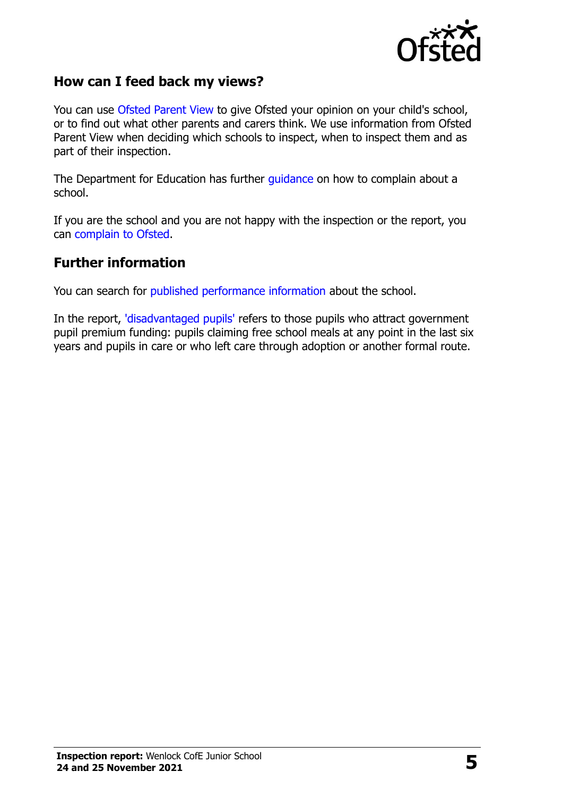

### **How can I feed back my views?**

You can use [Ofsted Parent View](http://parentview.ofsted.gov.uk/) to give Ofsted your opinion on your child's school, or to find out what other parents and carers think. We use information from Ofsted Parent View when deciding which schools to inspect, when to inspect them and as part of their inspection.

The Department for Education has further [guidance](http://www.gov.uk/complain-about-school) on how to complain about a school.

If you are the school and you are not happy with the inspection or the report, you can [complain to Ofsted.](http://www.gov.uk/complain-ofsted-report)

#### **Further information**

You can search for [published performance information](http://www.compare-school-performance.service.gov.uk/) about the school.

In the report, ['disadvantaged pupils'](http://www.gov.uk/guidance/pupil-premium-information-for-schools-and-alternative-provision-settings) refers to those pupils who attract government pupil premium funding: pupils claiming free school meals at any point in the last six years and pupils in care or who left care through adoption or another formal route.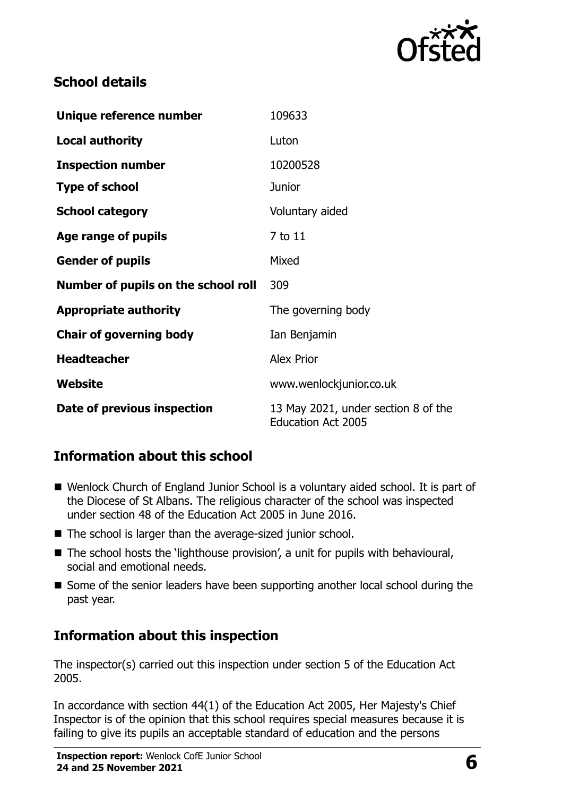

# **School details**

| Unique reference number             | 109633                                                           |  |
|-------------------------------------|------------------------------------------------------------------|--|
| <b>Local authority</b>              | Luton                                                            |  |
| <b>Inspection number</b>            | 10200528                                                         |  |
| <b>Type of school</b>               | <b>Junior</b>                                                    |  |
| <b>School category</b>              | Voluntary aided                                                  |  |
| Age range of pupils                 | 7 to 11                                                          |  |
| <b>Gender of pupils</b>             | Mixed                                                            |  |
| Number of pupils on the school roll | 309                                                              |  |
| <b>Appropriate authority</b>        | The governing body                                               |  |
| <b>Chair of governing body</b>      | Ian Benjamin                                                     |  |
| <b>Headteacher</b>                  | <b>Alex Prior</b>                                                |  |
| Website                             | www.wenlockjunior.co.uk                                          |  |
| Date of previous inspection         | 13 May 2021, under section 8 of the<br><b>Education Act 2005</b> |  |

# **Information about this school**

- Wenlock Church of England Junior School is a voluntary aided school. It is part of the Diocese of St Albans. The religious character of the school was inspected under section 48 of the Education Act 2005 in June 2016.
- The school is larger than the average-sized junior school.
- $\blacksquare$  The school hosts the 'lighthouse provision', a unit for pupils with behavioural, social and emotional needs.
- Some of the senior leaders have been supporting another local school during the past year.

# **Information about this inspection**

The inspector(s) carried out this inspection under section 5 of the Education Act 2005.

In accordance with section 44(1) of the Education Act 2005, Her Majesty's Chief Inspector is of the opinion that this school requires special measures because it is failing to give its pupils an acceptable standard of education and the persons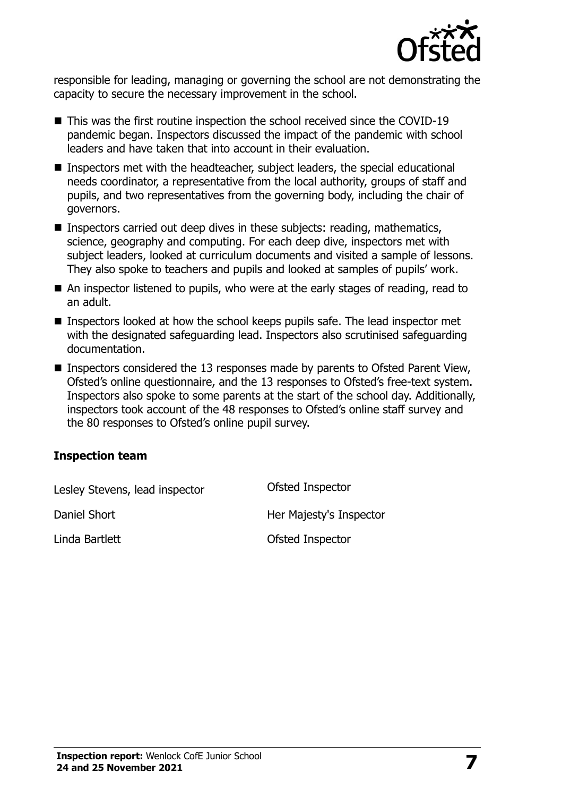

responsible for leading, managing or governing the school are not demonstrating the capacity to secure the necessary improvement in the school.

- This was the first routine inspection the school received since the COVID-19 pandemic began. Inspectors discussed the impact of the pandemic with school leaders and have taken that into account in their evaluation.
- Inspectors met with the headteacher, subject leaders, the special educational needs coordinator, a representative from the local authority, groups of staff and pupils, and two representatives from the governing body, including the chair of governors.
- **Inspectors carried out deep dives in these subjects: reading, mathematics,** science, geography and computing. For each deep dive, inspectors met with subject leaders, looked at curriculum documents and visited a sample of lessons. They also spoke to teachers and pupils and looked at samples of pupils' work.
- An inspector listened to pupils, who were at the early stages of reading, read to an adult.
- Inspectors looked at how the school keeps pupils safe. The lead inspector met with the designated safeguarding lead. Inspectors also scrutinised safeguarding documentation.
- Inspectors considered the 13 responses made by parents to Ofsted Parent View, Ofsted's online questionnaire, and the 13 responses to Ofsted's free-text system. Inspectors also spoke to some parents at the start of the school day. Additionally, inspectors took account of the 48 responses to Ofsted's online staff survey and the 80 responses to Ofsted's online pupil survey.

#### **Inspection team**

| Lesley Stevens, lead inspector | Ofsted Inspector        |
|--------------------------------|-------------------------|
| Daniel Short                   | Her Majesty's Inspector |
| Linda Bartlett                 | Ofsted Inspector        |